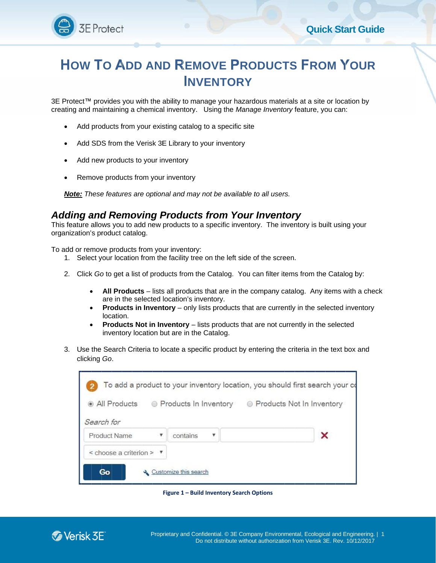

## **OW TO ADD AND REMOVE PRODUCTS FROM YOUR DD AND REMOVE PRODUCTS F**<br> **INVENTORY**<br>
You with the ability to manage your hazardous materials at ga chemical inventory. Using the *Manage Inventory* feat<br>
om your existing catalog to a specific site<br>
the Verisk 3E Libra **INVENTORY O ADD AND REMOVE PRODUCTS FROM YOUR**<br>
INVENTORY<br>
Wides you with the ability to manage your hazardous materials at a site or location by<br>
Intaining a chemical inventory. Using the *Manage Inventory* feature, you can:<br>
duct **Quick Start Guide**<br> **OVE PRODUCTS FROM YOUR**<br> **ENTORY**<br>
age your hazardous materials at a site or location by<br>
Jsing the *Manage Inventory* feature, you can:<br>
o a specific site<br>
pur inventory<br>
of the available to all user

3E Protect™ provides you with the ability to manage your h 3E Protect™ provides you with the ability to manage your hazardous materials at a site or location by<br>creating and maintaining a chemical inventory. Using the *Manage Inventory* feature, you can: you with the ability to manage your hazardous mate<br>ng a chemical inventory. Using the *Manage Invento*<br>irom your existing catalog to a specific site<br>the Verisk 3E Library to your inventory<br>ucts to your inventory<br>res are op rides you with the ability to manage your hazardous materials at a site or location<br>taining a chemical inventory. Using the *Manage Inventory* feature, you can<br>ucts from your existing catalog to a specific site<br>from the Ve **INVENTORY**<br>
provides you with the ability to manage your hazardous materials at a site or local<br>
maintaining a chemical inventory. Using the *Manage Inventory* feature, you can<br>
products from your existing catalog to a sp

- $\bullet$ Add products from your existing catalog to a specific site
- $\bullet$ Add SDS from products from your existing catalog to a specific site<br>SDS from the Verisk 3E Library to your inventory<br>new products to your inventory
- $\bullet$ Add new products to your inventory
- $\bullet$ Add new products to your inventory<br>Remove products from your inventory

*Mote:* These features are optional and may not be available to all users.

## *Adding and Removing Removing Products from Products Your Inventory*

This feature allows you to add new products to a specific inventory. The inventory is built using your organization's product catalog. catalog. s feature allows you to add new products to a specific inventory. The inver<br>anization's product catalog.<br>add or remove products from your inventory:<br>1. Select your location from the facility tree on the left side of the sc ating and maintaining a chemi<br>• Add products from your e<br>• Add SDS from the Verisk<br>• Add new products to you<br>• Remove products from your Mote: These features are optically and **Removing**<br>**dding and Removing**<br>s feature allo provides you with the ability to manage your hamaintaining a chemical inventory. Using the *M*<br>products from your existing catalog to a specific<br>SDS from the Verisk 3E Library to your inventory<br>new products to your invento sk 3E Library to your inventory<br>
your inventory<br>
your inventory<br>
pptional and may not be availak<br> **in Products from Your Starf Products**<br>
in wour inventory:<br>
m the facility tree on the left side<br>
products from the Catalog. rovides you with the ability to manage your hazardous materials<br>aintaining a chemical inventory. Using the *Manage Inventory* fe<br>oducts from your existing catalog to a specific site<br>DS from the Verisk 3E Library to your in Contributive abity to manage your hazardous materials at a site or location than the material inventory. Using the *Manage Inventory* feature, you can:<br>
Add products from your existing catalog to a specific site<br>
Add SDS you to add new products to a specific inventory. The inventory is built using you<br>act catalog.<br>roducts from your inventory:<br>location from the facility tree on the left side of the screen.<br>get a list of products from the Ca and maintaining a chemical inventory. Using the Manage Inventory feature, you ca<br>
Add products from your existing catalog to a specific site<br>
Add SDS from the Verisk 3E Library to your inventory<br>
Add new products to your i to manage your hazardous materials at a site or<br>tory. Using the *Manage Inventory* feature, you<br>atalog to a specific site<br>xy to your inventory<br>ry<br>tory<br>for the available to all users.<br>**Lucts from Your Inventory**<br>states to a is you with the ability to manage your hazardous materials at a site or leadining a chemical inventory. Using the *Manage Inventory* feature, you c<br>is from your existing catalog to a specific site<br>om the Verisk 3E Library

To add or remove products from your inventory:

- 
- 2. Click *Go Go* to get a list of products from the Catalog. You can filter items from the Catalog by:
- $\bullet$ provides you with the ability to manage your hazardous materials at a site or location by<br>maintiaining a chemical inventory. Using the *Manage Inventory* feature, you can:<br>products from your existing catalog to a specific All Products – lists all products that are in the company catalog. Any items with a check are in the selected location's inventory. ducts from the Catalog. You can filter items from the Catalog by:<br>ts all products that are in the company catalog. Any items with a che<br>I location's inventory.<br>**ntory** – only lists products that are currently in the select your inventory:<br>the facility tree on the left side of the screen.<br>roducts from the Catalog. You can filter items from the (<br>ists all products that are in the company catalog. Any ite<br>ed location's inventory.<br>**entory** – onl add new products to a specific inventory. The inventory is built u<br>alog.<br>
Is from your inventory:<br>
In from the facility tree on the left side of the screen.<br>
Ist of products from the Catalog. You can filter items from the ou to add new products to a spect catalog.<br>
coducts from your inventory:<br>
location from the facility tree on the<br>
get a list of products from the Cat<br> **Products** – lists all products that<br>
in the selected location's invent new products to a specific inventory. The inventory is built using your<br>n your inventory:<br>m the facility tree on the left side of the screen.<br>products from the Catalog. You can filter items from the Catalog by:<br>lists all p ur location from the facility tree on the left side of the screen.<br>to get a list of products from the Catalog. You can filter items from<br>**All Products** – lists all products that are in the company catalog. An<br>re in the sel r existing catalog to a specific site<br>
Sk 3E Library to your inventory<br>
our inventory<br>
potional and may not be available to all users.<br> **ng Products from Your Inventory**<br>
new products to a specific inventory. The inventory add new products to a specific inventory. The inventory is built using your<br>alog.<br>s from your inventory:<br>m from the facility tree on the left side of the screen.<br>ist of products from the Catalog. You can filter items from icts to a specific inventory. The inventory is built using<br>entory:<br>lity tree on the left side of the screen.<br>from the Catalog. You can filter items from the Catalog<br>roducts that are in the company catalog. Any items wit<br>on
	- $\bullet$ **Products in Inventory** - only lists products that are currently in the selected inventory location.
	- $\bullet$ **Products Not in Inventory** – lists products that are not currently in the selected inventory location but are in the Catalog.
- inventory location but are in the Catalog.<br>3. Use the Search Criteria to locate a specific product by entering the criteria in the text box and clicking *Go*.

| <b>W TO ADD AND REMOVE PRODUCTS FROM YOUR</b>                                                                                                                                                                                                                                                                                                                                                                                                                                                                                          |
|----------------------------------------------------------------------------------------------------------------------------------------------------------------------------------------------------------------------------------------------------------------------------------------------------------------------------------------------------------------------------------------------------------------------------------------------------------------------------------------------------------------------------------------|
| <b>INVENTORY</b>                                                                                                                                                                                                                                                                                                                                                                                                                                                                                                                       |
| ct™ provides you with the ability to manage your hazardous materials at a site or location by<br>and maintaining a chemical inventory. Using the Manage Inventory feature, you can:                                                                                                                                                                                                                                                                                                                                                    |
| dd products from your existing catalog to a specific site                                                                                                                                                                                                                                                                                                                                                                                                                                                                              |
| dd SDS from the Verisk 3E Library to your inventory                                                                                                                                                                                                                                                                                                                                                                                                                                                                                    |
| dd new products to your inventory                                                                                                                                                                                                                                                                                                                                                                                                                                                                                                      |
| emove products from your inventory                                                                                                                                                                                                                                                                                                                                                                                                                                                                                                     |
| : These features are optional and may not be available to all users.                                                                                                                                                                                                                                                                                                                                                                                                                                                                   |
| g and Removing Products from Your Inventory<br>are allows you to add new products to a specific inventory. The inventory is built using your<br>ion's product catalog.                                                                                                                                                                                                                                                                                                                                                                 |
| r remove products from your inventory:<br>Select your location from the facility tree on the left side of the screen.                                                                                                                                                                                                                                                                                                                                                                                                                  |
| lick Go to get a list of products from the Catalog. You can filter items from the Catalog by:                                                                                                                                                                                                                                                                                                                                                                                                                                          |
| All Products - lists all products that are in the company catalog. Any items with a check<br>are in the selected location's inventory.<br><b>Products in Inventory</b> – only lists products that are currently in the selected inventory<br>٠<br>location.<br><b>Products Not in Inventory</b> – lists products that are not currently in the selected<br>$\bullet$<br>inventory location but are in the Catalog.<br>Jse the Search Criteria to locate a specific product by entering the criteria in the text box and<br>licking Go. |
| To add a product to your inventory location, you should first search your co<br><sup>O</sup> All Products<br>◎ Products In Inventory<br>Roducts Not In Inventory<br>Search for                                                                                                                                                                                                                                                                                                                                                         |
| Product Name<br>v<br>x<br>۷<br>contains                                                                                                                                                                                                                                                                                                                                                                                                                                                                                                |
| < choose a criterion ><br>$\mathcal{F}$                                                                                                                                                                                                                                                                                                                                                                                                                                                                                                |
| Go<br>Customize this search                                                                                                                                                                                                                                                                                                                                                                                                                                                                                                            |
| Figure 1 - Build Inventory Search Options                                                                                                                                                                                                                                                                                                                                                                                                                                                                                              |
| isk 3ET<br>Proprietary and Confidential. © 3E Company Environmental, Ecological and Engineering.  <br>Do not distribute without authorization from Verisk 3E. Rev. 10/12/2017                                                                                                                                                                                                                                                                                                                                                          |

**Figure 1 – Build Inventory Search Options Search OptionsInventory Search** 

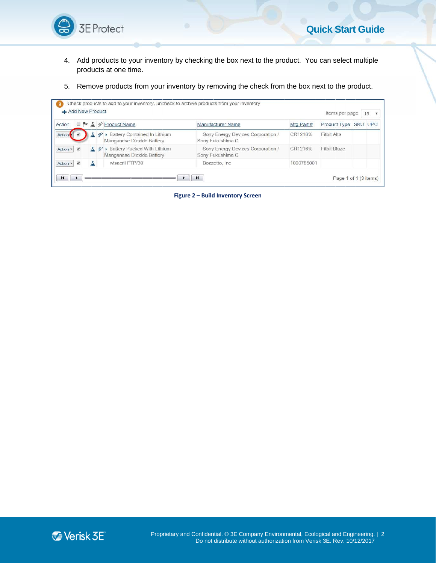

- 4. Add products to your inventory by checking the box next to the product. You can select multiple the multiple to product. can select 4. Add products to your inventory by checking the box next to the product. You can select multip<br>products at one time.<br>5. Remove products from your inventory by removing the check from the box next to the product. prod products at one time.
- 

| 5 St Protect                                                                                    |                                                                                                                                                                                                | <b>Quick Start Guide</b>                                                |
|-------------------------------------------------------------------------------------------------|------------------------------------------------------------------------------------------------------------------------------------------------------------------------------------------------|-------------------------------------------------------------------------|
| 4.<br>products at one time.<br>5.                                                               | Add products to your inventory by checking the box next to the product. You can select multiple<br>Remove products from your inventory by removing the check from the box next to the product. |                                                                         |
|                                                                                                 |                                                                                                                                                                                                |                                                                         |
| Add New Product                                                                                 | Check products to add to your inventory, uncheck to archive products from your inventory                                                                                                       | Items per page<br>15<br>$\boldsymbol{\mathrm{v}}$                       |
| Action<br>e p<br>A Product Name                                                                 | Manufacturer Name                                                                                                                                                                              | Mfg Part #<br>Product Type SKU UPC                                      |
| <b><i>@</i></b> ▶ Battery Contained In Lithium<br>д<br>Action<br>Manganese Dioxide Battery      | Sony Energy Devices Corporation /<br>Sony Fukushima C                                                                                                                                          | CR1216%<br><b>Fitbit Alta</b>                                           |
| <b>Ø ▶ Battery Packed With Lithium</b><br>$\checkmark$<br>Action *<br>Manganese Dioxide Battery | Sony Energy Devices Corporation /<br>Sony Fukushima C                                                                                                                                          | Fitbit Blaze<br>CR1216%                                                 |
| wisacril FTP/30<br>$\blacktriangledown$<br>Action *<br>д                                        | Bozzetto, Inc                                                                                                                                                                                  | 1000785001                                                              |
| $\blacksquare$<br>◀                                                                             | H.                                                                                                                                                                                             | Page 1 of 1 (3 items)                                                   |
|                                                                                                 |                                                                                                                                                                                                |                                                                         |
| <b>E</b> Verisk 3E                                                                              | Proprietary and Confidential. © 3E Company Environmental, Ecological and Engineering.   2                                                                                                      | Do not distribute without authorization from Verisk 3E. Rev. 10/12/2017 |

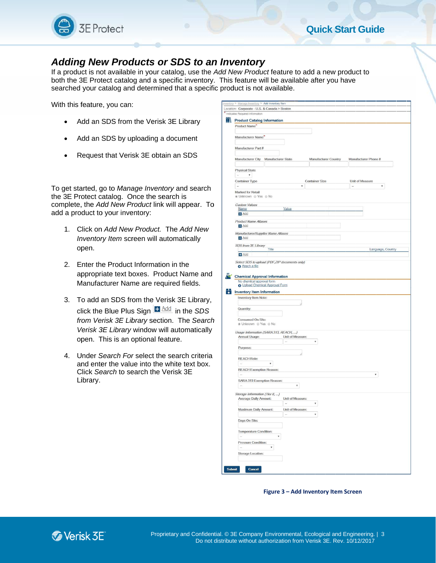

## *Adding New Products or SDS to*

With this feature, you can:

- $\bullet$
- $\bullet$ Add an SDS by uploading a document SDS from the Verisk 3E Library<br>SDS by uploading a document
- $\bullet$ Request that Verisk

To get started, go to *Manage Inventory* the 3E Protect catalog. Once the search is complete, the Add New Product link will appear. To  $\parallel$ add a product to your inventory: Verisk 3E<br>*Manage In<br>Manage In*<br>J. Once the<br>inventory: in an SDS<br>*ory* and sea<br>arch is<br>will appear.<br>The *Add N*e and search

- 1. Click on *Add New Product. Add New* Inventory Item screen will automatically open. a product to your inventory:<br>
1. Click on Add New Product. The Add<br>
Inventory Item screen will automatic:<br>
open.<br>
2. Enter the Product Information in the<br>
appropriate text boxes. Product Nar<br>
Manufacturer Name are required
- 2. Enter the Product Information in the appropriate text boxes. Product Name and Manufacturer Name are required fields. fields.
- 3. To add an SDS from t Name t the he Verisk 3E Library, Library, click the Blue Plus Sign **■ Allac** in the SDS *from Verisk 3E Library* section. *Verisk 3E Library* open. This is an optional feature. feature. *Form* and a SDS from the SE *Frolect catalog* and a specific inven<br> **Searched your catalog and a specific inven**<br> **Searched your catalog and determined that a sp**<br>
With this feature, you can:<br> **Add an SDS from the Verisk** een will automatically<br>Information in the<br>oxes. Product Name and<br>ne are required fields.<br>om the Verisk 3E Library,<br>s Sign **E** Add in the SDS<br>brary section. The Searcl<br>window will automatically **Cor SDS to**<br>the a specific inventions a specific inventing that a specific inventing<br>trisk 3E Library<br>risk 3E Library<br>or a document<br>botain an SDS<br>entory and sear<br>exerch is<br>ink will appear.<br>ct. The Add Ne<br>required fields.<br> Plus Sign  $\frac{\text{H} \text{Area}}{\text{H}}$  in the *SDS*<br>E *Library* section. The *Search*<br>*ary* window will automatically<br>an optional feature.<br>*For* select the search criteria The
	- 4. Under Search For select the search criteria and enter the value into the white text box. box. enter the Click *Search* to search the Verisk 3E Library Library.

|         | $\leq$ 5E Protect                                                                                                                                                                                                                                                                                                                  | <b>Quick Start Guide</b>                                                                                                                                                                                                                                                                                                                    |
|---------|------------------------------------------------------------------------------------------------------------------------------------------------------------------------------------------------------------------------------------------------------------------------------------------------------------------------------------|---------------------------------------------------------------------------------------------------------------------------------------------------------------------------------------------------------------------------------------------------------------------------------------------------------------------------------------------|
|         | dding New Products or SDS to an Inventory<br>product is not available in your catalog, use the Add New Product feature to add a new product to<br>h the 3E Protect catalog and a specific inventory. This feature will be available after you have<br>irched your catalog and determined that a specific product is not available. |                                                                                                                                                                                                                                                                                                                                             |
|         | h this feature, you can:                                                                                                                                                                                                                                                                                                           | > Add Inventory item<br>Location: Corporate - U.S. & Canada > Boston                                                                                                                                                                                                                                                                        |
|         | Add an SDS from the Verisk 3E Library                                                                                                                                                                                                                                                                                              | Indicates Required Information<br><b>Product Catalog Information</b><br>Product Name                                                                                                                                                                                                                                                        |
|         | Add an SDS by uploading a document                                                                                                                                                                                                                                                                                                 | Manufacturer Name                                                                                                                                                                                                                                                                                                                           |
|         | Request that Verisk 3E obtain an SDS                                                                                                                                                                                                                                                                                               | Manufacturer Part #                                                                                                                                                                                                                                                                                                                         |
|         |                                                                                                                                                                                                                                                                                                                                    | Manufacturer City Manufacturer State<br><b>Manufacturer Country</b><br>Manufacturer Phone #<br><b>Physical State</b>                                                                                                                                                                                                                        |
|         | get started, go to Manage Inventory and search<br>3E Protect catalog. Once the search is<br>nplete, the Add New Product link will appear. To<br>a product to your inventory:                                                                                                                                                       | $\boldsymbol{\mathrm{v}}$<br><b>Container Type</b><br><b>Container Size</b><br>Unit of Measure<br>$\overline{\chi}$<br><b>Marked for Retail</b><br>® Unknown @ Yes @ No<br><b>Custom Values</b><br>Value<br>Name<br>$H$ Add                                                                                                                 |
| $1_{-}$ | Click on Add New Product. The Add New<br>Inventory Item screen will automatically<br>open.                                                                                                                                                                                                                                         | <b>Product Name Aliases</b><br>$H$ Add<br>Manufacturer/Supplier Name Aliases<br><b>H</b> Add<br>SDS from 3E Library<br>Language, Country<br>Title<br><b>El</b> Add                                                                                                                                                                          |
| 2.      | Enter the Product Information in the<br>appropriate text boxes. Product Name and<br>Manufacturer Name are required fields.                                                                                                                                                                                                         | Select SDS to upload (PDF, ZIP documents only)<br><b>O</b> Attach a file<br><b>Chemical Approval Information</b><br>No chemical approval form<br>O Upload Chemical Approval Form                                                                                                                                                            |
| 3.      | To add an SDS from the Verisk 3E Library,                                                                                                                                                                                                                                                                                          | <b>2.</b> Inventory Item Information<br>Inventory Item Note:                                                                                                                                                                                                                                                                                |
|         | click the Blue Plus Sign $H \xrightarrow{\text{Add}}$ in the SDS<br>from Verisk 3E Library section. The Search<br>Verisk 3E Library window will automatically<br>open. This is an optional feature.                                                                                                                                | Quantity:<br>Consumed On Site:<br>● Unknown ● Yes ● No<br>Usage Information (SARA 313, REACH, )<br>Annual Usage:<br>Unit of Measure:<br>$\boldsymbol{\mathrm{v}}$                                                                                                                                                                           |
| 4.      | Under Search For select the search criteria<br>and enter the value into the white text box.<br>Click Search to search the Verisk 3E<br>Library.                                                                                                                                                                                    | Purpose:<br><b>REACH Role:</b><br>$\boldsymbol{\mathrm{v}}$<br>$\sim$<br><b>REACH Exemption Reason:</b><br>$\overline{\chi}$<br>SARA 313 Exemption Reason:<br>$\pmb{\mathrm{v}}$                                                                                                                                                            |
|         |                                                                                                                                                                                                                                                                                                                                    | Storage Information (Tier II, )<br>Unit of Measure:<br><b>Average Daily Amount:</b><br>C.<br>$\pmb{\mathrm{v}}$<br>Maximum Daily Amount:<br>Unit of Measure:<br>$\boldsymbol{\mathrm{v}}$<br>$\sim$<br>Days On Site:<br>Temperature Condition:<br>$\pmb{\mathrm{v}}$<br>Pressure Condition:<br>Storage Location:<br><b>Submit</b><br>Cancel |
|         |                                                                                                                                                                                                                                                                                                                                    | Figure 3 - Add Inventory Item Screen                                                                                                                                                                                                                                                                                                        |
|         | Verisk 3E <sup>®</sup>                                                                                                                                                                                                                                                                                                             | Proprietary and Confidential. © 3E Company Environmental, Ecological and Engineering.   3<br>Do not distribute without authorization from Verisk 3E. Rev. 10/12/2017                                                                                                                                                                        |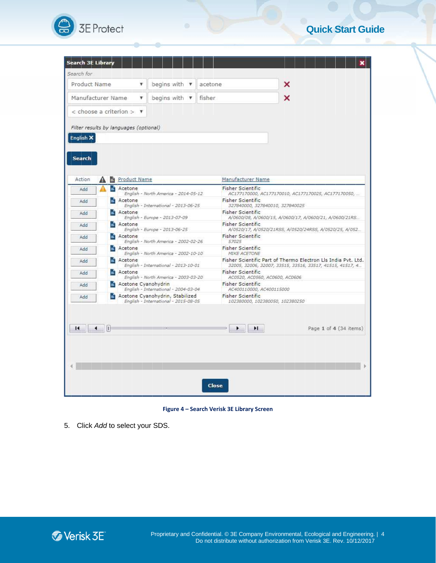

## **Quick Start Guide**

| <b>Search 3E Library</b><br>×<br>begins with $\mathbf v$<br>v<br>acetone<br>begins with $\mathbf v$<br>fisher<br>×<br>v<br>Manufacturer Name<br><b>Product Name</b><br>А<br><b>Fisher Scientific</b><br>Acetone<br>Add<br>English - North America - 2014-05-12<br>AC177170000, AC177170010, AC177170025, AC177170050,<br><b>Fisher Scientific</b><br>Acetone<br>Add<br>English - International - 2013-06-25<br>327840000, 327840010, 327840025<br><b>Fisher Scientific</b><br>Acetone<br>Add<br>English - Europe - 2013-07-09<br>A/0600/08, A/0600/15, A/0600/17, A/0600/21, A/0600/21RS<br><b>Fisher Scientific</b><br>Acetone<br>Add<br>English - Europe - 2013-06-25<br>A/0520/17, A/0520/21RSS, A/0520/24RSS, A/0520/25, A/052<br><b>Fisher Scientific</b><br>Acetone<br>Add<br>English - North America - 2002-02-26<br>57025<br><b>Fisher Scientific</b><br>Acetone<br>Add<br>English - North America - 2002-10-10<br><b>MIKE ACETONE</b><br>Fisher Scientific Part of Thermo Electron Lis India Pvt. Ltd.<br>Acetone<br>Add<br>English - International - 2013-10-01<br>32005, 32006, 32007, 33515, 33516, 33517, 41515, 41517, 4<br><b>Fisher Scientific</b><br>Acetone<br>Add<br>English - North America - 2003-03-20<br>AC0520, AC0560, AC0600, AC0606<br>Acetone Cyanohydrin<br><b>Fisher Scientific</b><br>Add<br>English - International - 2004-03-04<br>AC400110000, AC400115000<br><b>Fisher Scientific</b><br>Acetone Cyanohydrin, Stabilized<br>Add<br>English - International - 2015-08-05<br>102380000, 102380050, 102380250<br>И<br>Ħ<br>Page 1 of 4 (34 items) |
|-----------------------------------------------------------------------------------------------------------------------------------------------------------------------------------------------------------------------------------------------------------------------------------------------------------------------------------------------------------------------------------------------------------------------------------------------------------------------------------------------------------------------------------------------------------------------------------------------------------------------------------------------------------------------------------------------------------------------------------------------------------------------------------------------------------------------------------------------------------------------------------------------------------------------------------------------------------------------------------------------------------------------------------------------------------------------------------------------------------------------------------------------------------------------------------------------------------------------------------------------------------------------------------------------------------------------------------------------------------------------------------------------------------------------------------------------------------------------------------------------------------------------------------------------------------------------------------|
| Search for<br>Product Name<br>Manufacturer Name<br>$\epsilon$ choose a criterion $>$ $\blacktriangledown$<br>Filter results by languages (optional)<br>English X<br>Search<br>Action<br>и                                                                                                                                                                                                                                                                                                                                                                                                                                                                                                                                                                                                                                                                                                                                                                                                                                                                                                                                                                                                                                                                                                                                                                                                                                                                                                                                                                                         |
|                                                                                                                                                                                                                                                                                                                                                                                                                                                                                                                                                                                                                                                                                                                                                                                                                                                                                                                                                                                                                                                                                                                                                                                                                                                                                                                                                                                                                                                                                                                                                                                   |
|                                                                                                                                                                                                                                                                                                                                                                                                                                                                                                                                                                                                                                                                                                                                                                                                                                                                                                                                                                                                                                                                                                                                                                                                                                                                                                                                                                                                                                                                                                                                                                                   |
|                                                                                                                                                                                                                                                                                                                                                                                                                                                                                                                                                                                                                                                                                                                                                                                                                                                                                                                                                                                                                                                                                                                                                                                                                                                                                                                                                                                                                                                                                                                                                                                   |
|                                                                                                                                                                                                                                                                                                                                                                                                                                                                                                                                                                                                                                                                                                                                                                                                                                                                                                                                                                                                                                                                                                                                                                                                                                                                                                                                                                                                                                                                                                                                                                                   |
|                                                                                                                                                                                                                                                                                                                                                                                                                                                                                                                                                                                                                                                                                                                                                                                                                                                                                                                                                                                                                                                                                                                                                                                                                                                                                                                                                                                                                                                                                                                                                                                   |
|                                                                                                                                                                                                                                                                                                                                                                                                                                                                                                                                                                                                                                                                                                                                                                                                                                                                                                                                                                                                                                                                                                                                                                                                                                                                                                                                                                                                                                                                                                                                                                                   |
|                                                                                                                                                                                                                                                                                                                                                                                                                                                                                                                                                                                                                                                                                                                                                                                                                                                                                                                                                                                                                                                                                                                                                                                                                                                                                                                                                                                                                                                                                                                                                                                   |
|                                                                                                                                                                                                                                                                                                                                                                                                                                                                                                                                                                                                                                                                                                                                                                                                                                                                                                                                                                                                                                                                                                                                                                                                                                                                                                                                                                                                                                                                                                                                                                                   |
|                                                                                                                                                                                                                                                                                                                                                                                                                                                                                                                                                                                                                                                                                                                                                                                                                                                                                                                                                                                                                                                                                                                                                                                                                                                                                                                                                                                                                                                                                                                                                                                   |
|                                                                                                                                                                                                                                                                                                                                                                                                                                                                                                                                                                                                                                                                                                                                                                                                                                                                                                                                                                                                                                                                                                                                                                                                                                                                                                                                                                                                                                                                                                                                                                                   |
|                                                                                                                                                                                                                                                                                                                                                                                                                                                                                                                                                                                                                                                                                                                                                                                                                                                                                                                                                                                                                                                                                                                                                                                                                                                                                                                                                                                                                                                                                                                                                                                   |
|                                                                                                                                                                                                                                                                                                                                                                                                                                                                                                                                                                                                                                                                                                                                                                                                                                                                                                                                                                                                                                                                                                                                                                                                                                                                                                                                                                                                                                                                                                                                                                                   |
|                                                                                                                                                                                                                                                                                                                                                                                                                                                                                                                                                                                                                                                                                                                                                                                                                                                                                                                                                                                                                                                                                                                                                                                                                                                                                                                                                                                                                                                                                                                                                                                   |
|                                                                                                                                                                                                                                                                                                                                                                                                                                                                                                                                                                                                                                                                                                                                                                                                                                                                                                                                                                                                                                                                                                                                                                                                                                                                                                                                                                                                                                                                                                                                                                                   |
|                                                                                                                                                                                                                                                                                                                                                                                                                                                                                                                                                                                                                                                                                                                                                                                                                                                                                                                                                                                                                                                                                                                                                                                                                                                                                                                                                                                                                                                                                                                                                                                   |
|                                                                                                                                                                                                                                                                                                                                                                                                                                                                                                                                                                                                                                                                                                                                                                                                                                                                                                                                                                                                                                                                                                                                                                                                                                                                                                                                                                                                                                                                                                                                                                                   |
|                                                                                                                                                                                                                                                                                                                                                                                                                                                                                                                                                                                                                                                                                                                                                                                                                                                                                                                                                                                                                                                                                                                                                                                                                                                                                                                                                                                                                                                                                                                                                                                   |
|                                                                                                                                                                                                                                                                                                                                                                                                                                                                                                                                                                                                                                                                                                                                                                                                                                                                                                                                                                                                                                                                                                                                                                                                                                                                                                                                                                                                                                                                                                                                                                                   |
|                                                                                                                                                                                                                                                                                                                                                                                                                                                                                                                                                                                                                                                                                                                                                                                                                                                                                                                                                                                                                                                                                                                                                                                                                                                                                                                                                                                                                                                                                                                                                                                   |
|                                                                                                                                                                                                                                                                                                                                                                                                                                                                                                                                                                                                                                                                                                                                                                                                                                                                                                                                                                                                                                                                                                                                                                                                                                                                                                                                                                                                                                                                                                                                                                                   |
|                                                                                                                                                                                                                                                                                                                                                                                                                                                                                                                                                                                                                                                                                                                                                                                                                                                                                                                                                                                                                                                                                                                                                                                                                                                                                                                                                                                                                                                                                                                                                                                   |
|                                                                                                                                                                                                                                                                                                                                                                                                                                                                                                                                                                                                                                                                                                                                                                                                                                                                                                                                                                                                                                                                                                                                                                                                                                                                                                                                                                                                                                                                                                                                                                                   |
| Close                                                                                                                                                                                                                                                                                                                                                                                                                                                                                                                                                                                                                                                                                                                                                                                                                                                                                                                                                                                                                                                                                                                                                                                                                                                                                                                                                                                                                                                                                                                                                                             |
|                                                                                                                                                                                                                                                                                                                                                                                                                                                                                                                                                                                                                                                                                                                                                                                                                                                                                                                                                                                                                                                                                                                                                                                                                                                                                                                                                                                                                                                                                                                                                                                   |
| Figure 4 - Search Verisk 3E Library Screen                                                                                                                                                                                                                                                                                                                                                                                                                                                                                                                                                                                                                                                                                                                                                                                                                                                                                                                                                                                                                                                                                                                                                                                                                                                                                                                                                                                                                                                                                                                                        |

**Figure 4 3E Library Screen**